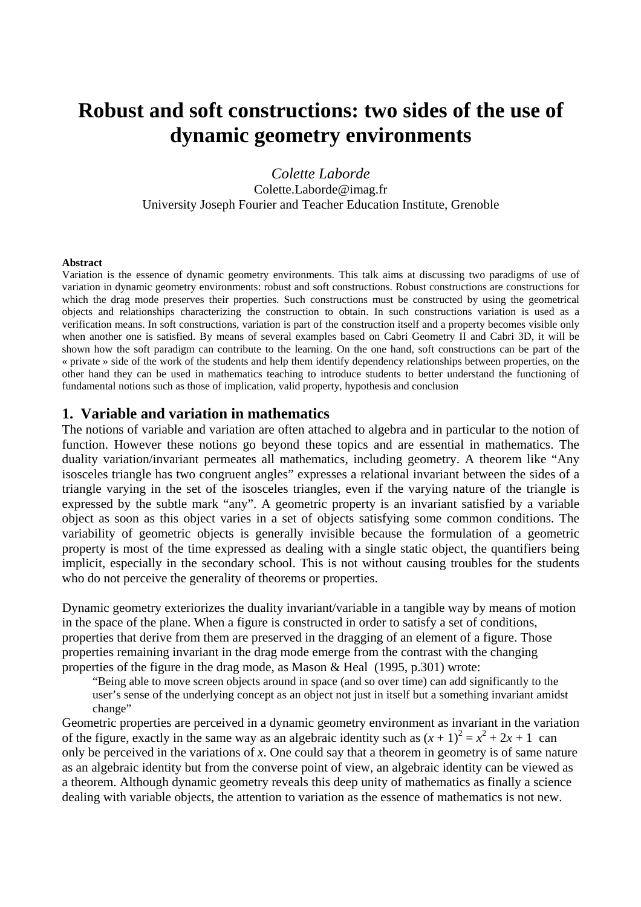# **Robust and soft constructions: two sides of the use of dynamic geometry environments**

*Colette Laborde*  Colette.Laborde@imag.fr University Joseph Fourier and Teacher Education Institute, Grenoble

#### **Abstract**

Variation is the essence of dynamic geometry environments. This talk aims at discussing two paradigms of use of variation in dynamic geometry environments: robust and soft constructions. Robust constructions are constructions for which the drag mode preserves their properties. Such constructions must be constructed by using the geometrical objects and relationships characterizing the construction to obtain. In such constructions variation is used as a verification means. In soft constructions, variation is part of the construction itself and a property becomes visible only when another one is satisfied. By means of several examples based on Cabri Geometry II and Cabri 3D, it will be shown how the soft paradigm can contribute to the learning. On the one hand, soft constructions can be part of the « private » side of the work of the students and help them identify dependency relationships between properties, on the other hand they can be used in mathematics teaching to introduce students to better understand the functioning of fundamental notions such as those of implication, valid property, hypothesis and conclusion

#### **1. Variable and variation in mathematics**

The notions of variable and variation are often attached to algebra and in particular to the notion of function. However these notions go beyond these topics and are essential in mathematics. The duality variation/invariant permeates all mathematics, including geometry. A theorem like "Any isosceles triangle has two congruent angles" expresses a relational invariant between the sides of a triangle varying in the set of the isosceles triangles, even if the varying nature of the triangle is expressed by the subtle mark "any". A geometric property is an invariant satisfied by a variable object as soon as this object varies in a set of objects satisfying some common conditions. The variability of geometric objects is generally invisible because the formulation of a geometric property is most of the time expressed as dealing with a single static object, the quantifiers being implicit, especially in the secondary school. This is not without causing troubles for the students who do not perceive the generality of theorems or properties.

Dynamic geometry exteriorizes the duality invariant/variable in a tangible way by means of motion in the space of the plane. When a figure is constructed in order to satisfy a set of conditions, properties that derive from them are preserved in the dragging of an element of a figure. Those properties remaining invariant in the drag mode emerge from the contrast with the changing properties of the figure in the drag mode, as Mason & Heal (1995, p.301) wrote:

"Being able to move screen objects around in space (and so over time) can add significantly to the user's sense of the underlying concept as an object not just in itself but a something invariant amidst change"

Geometric properties are perceived in a dynamic geometry environment as invariant in the variation of the figure, exactly in the same way as an algebraic identity such as  $(x + 1)^2 = x^2 + 2x + 1$  can only be perceived in the variations of *x*. One could say that a theorem in geometry is of same nature as an algebraic identity but from the converse point of view, an algebraic identity can be viewed as a theorem. Although dynamic geometry reveals this deep unity of mathematics as finally a science dealing with variable objects, the attention to variation as the essence of mathematics is not new.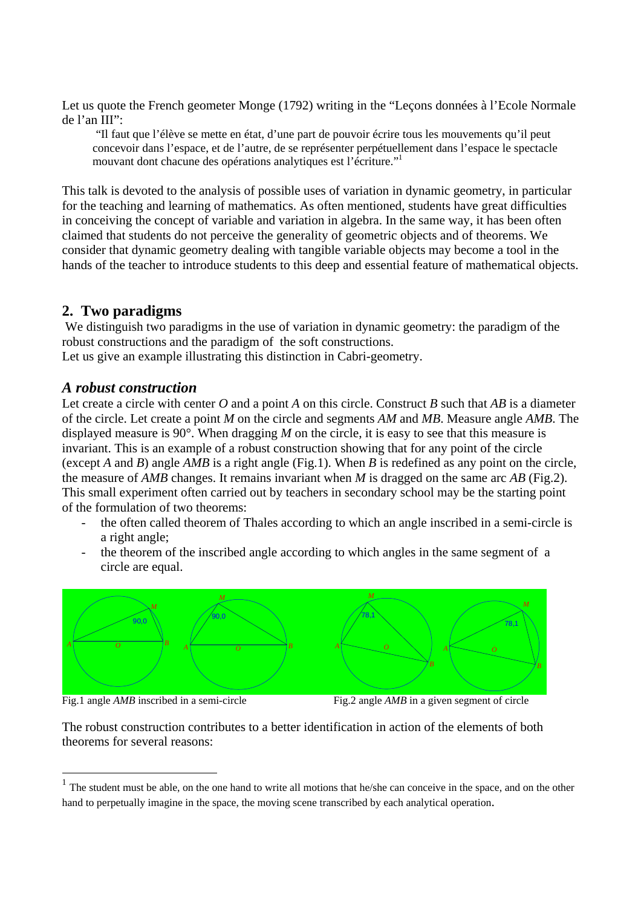Let us quote the French geometer Monge (1792) writing in the "Leçons données à l'Ecole Normale de l'an III":

"Il faut que l'élève se mette en état, d'une part de pouvoir écrire tous les mouvements qu'il peut concevoir dans l'espace, et de l'autre, de se représenter perpétuellement dans l'espace le spectacle mouvant dont chacune des opérations analytiques est l'écriture."1

This talk is devoted to the analysis of possible uses of variation in dynamic geometry, in particular for the teaching and learning of mathematics. As often mentioned, students have great difficulties in conceiving the concept of variable and variation in algebra. In the same way, it has been often claimed that students do not perceive the generality of geometric objects and of theorems. We consider that dynamic geometry dealing with tangible variable objects may become a tool in the hands of the teacher to introduce students to this deep and essential feature of mathematical objects.

## **2. Two paradigms**

 We distinguish two paradigms in the use of variation in dynamic geometry: the paradigm of the robust constructions and the paradigm of the soft constructions.

Let us give an example illustrating this distinction in Cabri-geometry.

## *A robust construction*

Let create a circle with center *O* and a point *A* on this circle. Construct *B* such that *AB* is a diameter of the circle. Let create a point *M* on the circle and segments *AM* and *MB*. Measure angle *AMB*. The displayed measure is 90°. When dragging *M* on the circle, it is easy to see that this measure is invariant. This is an example of a robust construction showing that for any point of the circle (except *A* and *B*) angle *AMB* is a right angle (Fig.1). When *B* is redefined as any point on the circle, the measure of *AMB* changes. It remains invariant when *M* is dragged on the same arc *AB* (Fig.2). This small experiment often carried out by teachers in secondary school may be the starting point of the formulation of two theorems:

- the often called theorem of Thales according to which an angle inscribed in a semi-circle is a right angle;
- the theorem of the inscribed angle according to which angles in the same segment of a circle are equal.



Fig.1 angle  $AMB$  inscribed in a semi-circle

 $\overline{a}$ 

Fig.2 angle *AMB* in a given segment of circle

The robust construction contributes to a better identification in action of the elements of both theorems for several reasons:

The student must be able, on the one hand to write all motions that he/she can conceive in the space, and on the other hand to perpetually imagine in the space, the moving scene transcribed by each analytical operation.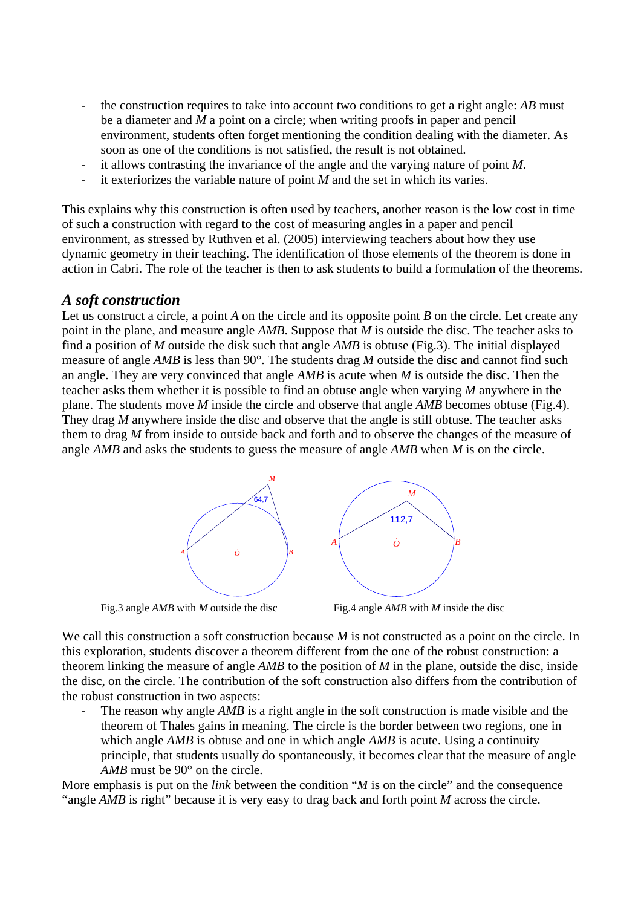- the construction requires to take into account two conditions to get a right angle: *AB* must be a diameter and *M* a point on a circle; when writing proofs in paper and pencil environment, students often forget mentioning the condition dealing with the diameter. As soon as one of the conditions is not satisfied, the result is not obtained.
- it allows contrasting the invariance of the angle and the varying nature of point *M*.
- it exteriorizes the variable nature of point *M* and the set in which its varies.

This explains why this construction is often used by teachers, another reason is the low cost in time of such a construction with regard to the cost of measuring angles in a paper and pencil environment, as stressed by Ruthven et al. (2005) interviewing teachers about how they use dynamic geometry in their teaching. The identification of those elements of the theorem is done in action in Cabri. The role of the teacher is then to ask students to build a formulation of the theorems.

#### *A soft construction*

Let us construct a circle, a point *A* on the circle and its opposite point *B* on the circle. Let create any point in the plane, and measure angle *AMB*. Suppose that *M* is outside the disc. The teacher asks to find a position of *M* outside the disk such that angle *AMB* is obtuse (Fig.3). The initial displayed measure of angle *AMB* is less than 90°. The students drag *M* outside the disc and cannot find such an angle. They are very convinced that angle *AMB* is acute when *M* is outside the disc. Then the teacher asks them whether it is possible to find an obtuse angle when varying *M* anywhere in the plane. The students move *M* inside the circle and observe that angle *AMB* becomes obtuse (Fig.4). They drag *M* anywhere inside the disc and observe that the angle is still obtuse. The teacher asks them to drag *M* from inside to outside back and forth and to observe the changes of the measure of angle *AMB* and asks the students to guess the measure of angle *AMB* when *M* is on the circle.



We call this construction a soft construction because *M* is not constructed as a point on the circle. In this exploration, students discover a theorem different from the one of the robust construction: a theorem linking the measure of angle *AMB* to the position of *M* in the plane, outside the disc, inside the disc, on the circle. The contribution of the soft construction also differs from the contribution of the robust construction in two aspects:

The reason why angle *AMB* is a right angle in the soft construction is made visible and the theorem of Thales gains in meaning. The circle is the border between two regions, one in which angle *AMB* is obtuse and one in which angle *AMB* is acute. Using a continuity principle, that students usually do spontaneously, it becomes clear that the measure of angle *AMB* must be 90° on the circle.

More emphasis is put on the *link* between the condition "*M* is on the circle" and the consequence "angle *AMB* is right" because it is very easy to drag back and forth point *M* across the circle.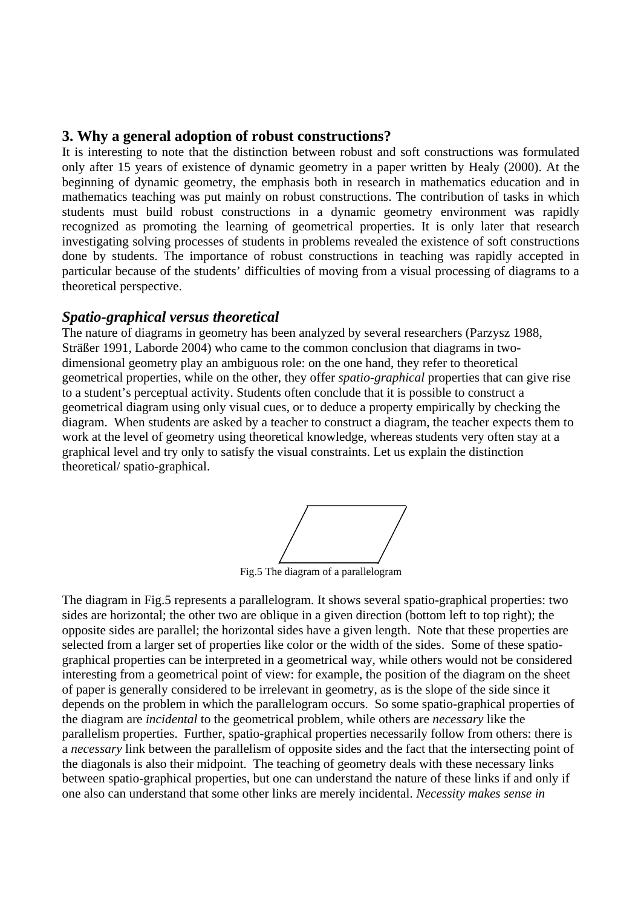## **3. Why a general adoption of robust constructions?**

It is interesting to note that the distinction between robust and soft constructions was formulated only after 15 years of existence of dynamic geometry in a paper written by Healy (2000). At the beginning of dynamic geometry, the emphasis both in research in mathematics education and in mathematics teaching was put mainly on robust constructions. The contribution of tasks in which students must build robust constructions in a dynamic geometry environment was rapidly recognized as promoting the learning of geometrical properties. It is only later that research investigating solving processes of students in problems revealed the existence of soft constructions done by students. The importance of robust constructions in teaching was rapidly accepted in particular because of the students' difficulties of moving from a visual processing of diagrams to a theoretical perspective.

## *Spatio-graphical versus theoretical*

The nature of diagrams in geometry has been analyzed by several researchers (Parzysz 1988, Sträßer 1991, Laborde 2004) who came to the common conclusion that diagrams in twodimensional geometry play an ambiguous role: on the one hand, they refer to theoretical geometrical properties, while on the other, they offer *spatio-graphical* properties that can give rise to a student's perceptual activity. Students often conclude that it is possible to construct a geometrical diagram using only visual cues, or to deduce a property empirically by checking the diagram. When students are asked by a teacher to construct a diagram, the teacher expects them to work at the level of geometry using theoretical knowledge, whereas students very often stay at a graphical level and try only to satisfy the visual constraints. Let us explain the distinction theoretical/ spatio-graphical.

Fig.5 The diagram of a parallelogram

The diagram in Fig.5 represents a parallelogram. It shows several spatio-graphical properties: two sides are horizontal; the other two are oblique in a given direction (bottom left to top right); the opposite sides are parallel; the horizontal sides have a given length. Note that these properties are selected from a larger set of properties like color or the width of the sides. Some of these spatiographical properties can be interpreted in a geometrical way, while others would not be considered interesting from a geometrical point of view: for example, the position of the diagram on the sheet of paper is generally considered to be irrelevant in geometry, as is the slope of the side since it depends on the problem in which the parallelogram occurs. So some spatio-graphical properties of the diagram are *incidental* to the geometrical problem, while others are *necessary* like the parallelism properties. Further, spatio-graphical properties necessarily follow from others: there is a *necessary* link between the parallelism of opposite sides and the fact that the intersecting point of the diagonals is also their midpoint. The teaching of geometry deals with these necessary links between spatio-graphical properties, but one can understand the nature of these links if and only if one also can understand that some other links are merely incidental. *Necessity makes sense in*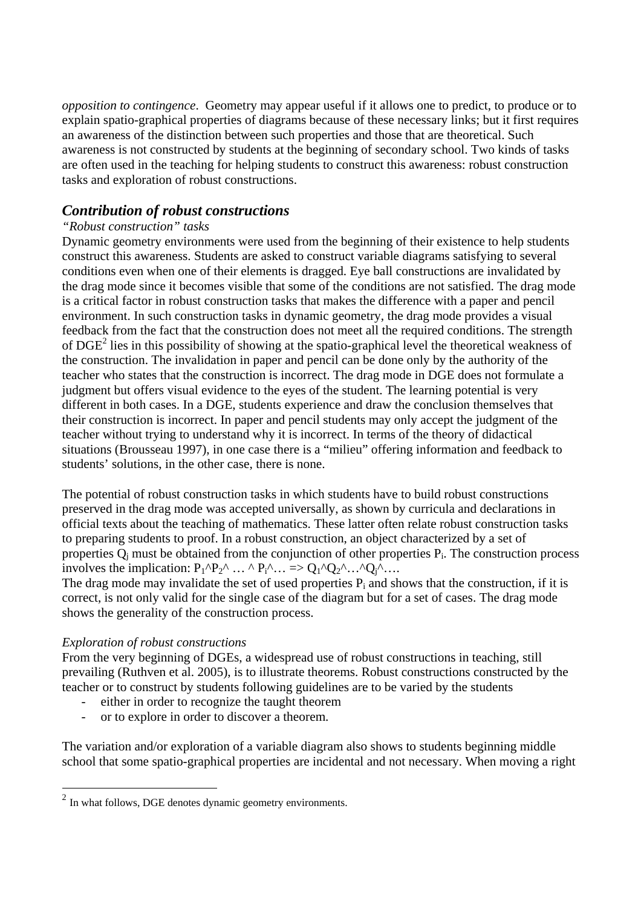*opposition to contingence*. Geometry may appear useful if it allows one to predict, to produce or to explain spatio-graphical properties of diagrams because of these necessary links; but it first requires an awareness of the distinction between such properties and those that are theoretical. Such awareness is not constructed by students at the beginning of secondary school. Two kinds of tasks are often used in the teaching for helping students to construct this awareness: robust construction tasks and exploration of robust constructions.

## *Contribution of robust constructions*

## *"Robust construction" tasks*

Dynamic geometry environments were used from the beginning of their existence to help students construct this awareness. Students are asked to construct variable diagrams satisfying to several conditions even when one of their elements is dragged. Eye ball constructions are invalidated by the drag mode since it becomes visible that some of the conditions are not satisfied. The drag mode is a critical factor in robust construction tasks that makes the difference with a paper and pencil environment. In such construction tasks in dynamic geometry, the drag mode provides a visual feedback from the fact that the construction does not meet all the required conditions. The strength of DGE<sup>2</sup> lies in this possibility of showing at the spatio-graphical level the theoretical weakness of the construction. The invalidation in paper and pencil can be done only by the authority of the teacher who states that the construction is incorrect. The drag mode in DGE does not formulate a judgment but offers visual evidence to the eyes of the student. The learning potential is very different in both cases. In a DGE, students experience and draw the conclusion themselves that their construction is incorrect. In paper and pencil students may only accept the judgment of the teacher without trying to understand why it is incorrect. In terms of the theory of didactical situations (Brousseau 1997), in one case there is a "milieu" offering information and feedback to students' solutions, in the other case, there is none.

The potential of robust construction tasks in which students have to build robust constructions preserved in the drag mode was accepted universally, as shown by curricula and declarations in official texts about the teaching of mathematics. These latter often relate robust construction tasks to preparing students to proof. In a robust construction, an object characterized by a set of properties  $Q_i$  must be obtained from the conjunction of other properties  $P_i$ . The construction process involves the implication:  $P_1^{\wedge}P_2^{\wedge} \dots \wedge P_i^{\wedge} \dots =\bigcirc Q_1^{\wedge}Q_2^{\wedge} \dots \wedge Q_i^{\wedge} \dots$ 

The drag mode may invalidate the set of used properties  $P_i$  and shows that the construction, if it is correct, is not only valid for the single case of the diagram but for a set of cases. The drag mode shows the generality of the construction process.

#### *Exploration of robust constructions*

 $\overline{a}$ 

From the very beginning of DGEs, a widespread use of robust constructions in teaching, still prevailing (Ruthven et al. 2005), is to illustrate theorems. Robust constructions constructed by the teacher or to construct by students following guidelines are to be varied by the students

- either in order to recognize the taught theorem
- or to explore in order to discover a theorem.

The variation and/or exploration of a variable diagram also shows to students beginning middle school that some spatio-graphical properties are incidental and not necessary. When moving a right

 $2 \text{ In what follows, DGE denotes dynamic geometry environments.}$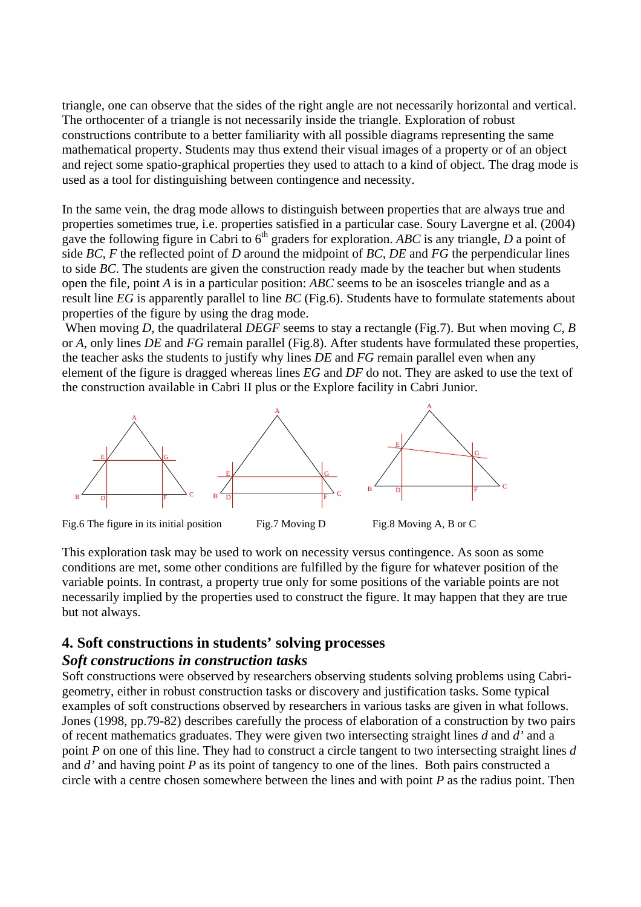triangle, one can observe that the sides of the right angle are not necessarily horizontal and vertical. The orthocenter of a triangle is not necessarily inside the triangle. Exploration of robust constructions contribute to a better familiarity with all possible diagrams representing the same mathematical property. Students may thus extend their visual images of a property or of an object and reject some spatio-graphical properties they used to attach to a kind of object. The drag mode is used as a tool for distinguishing between contingence and necessity.

In the same vein, the drag mode allows to distinguish between properties that are always true and properties sometimes true, i.e. properties satisfied in a particular case. Soury Lavergne et al. (2004) gave the following figure in Cabri to  $6<sup>th</sup>$  graders for exploration. *ABC* is any triangle, *D* a point of side *BC*, *F* the reflected point of *D* around the midpoint of *BC*, *DE* and *FG* the perpendicular lines to side *BC*. The students are given the construction ready made by the teacher but when students open the file, point *A* is in a particular position: *ABC* seems to be an isosceles triangle and as a result line *EG* is apparently parallel to line *BC* (Fig.6). Students have to formulate statements about properties of the figure by using the drag mode.

 When moving *D*, the quadrilateral *DEGF* seems to stay a rectangle (Fig.7). But when moving *C*, *B* or *A*, only lines *DE* and *FG* remain parallel (Fig.8). After students have formulated these properties, the teacher asks the students to justify why lines *DE* and *FG* remain parallel even when any element of the figure is dragged whereas lines *EG* and *DF* do not. They are asked to use the text of the construction available in Cabri II plus or the Explore facility in Cabri Junior.



Fig.6 The figure in its initial position Fig.7 Moving D Fig.8 Moving A, B or C

This exploration task may be used to work on necessity versus contingence. As soon as some conditions are met, some other conditions are fulfilled by the figure for whatever position of the variable points. In contrast, a property true only for some positions of the variable points are not necessarily implied by the properties used to construct the figure. It may happen that they are true but not always.

#### **4. Soft constructions in students' solving processes**

#### *Soft constructions in construction tasks*

Soft constructions were observed by researchers observing students solving problems using Cabrigeometry, either in robust construction tasks or discovery and justification tasks. Some typical examples of soft constructions observed by researchers in various tasks are given in what follows. Jones (1998, pp.79-82) describes carefully the process of elaboration of a construction by two pairs of recent mathematics graduates. They were given two intersecting straight lines *d* and *d'* and a point *P* on one of this line. They had to construct a circle tangent to two intersecting straight lines *d* and *d'* and having point *P* as its point of tangency to one of the lines. Both pairs constructed a circle with a centre chosen somewhere between the lines and with point *P* as the radius point. Then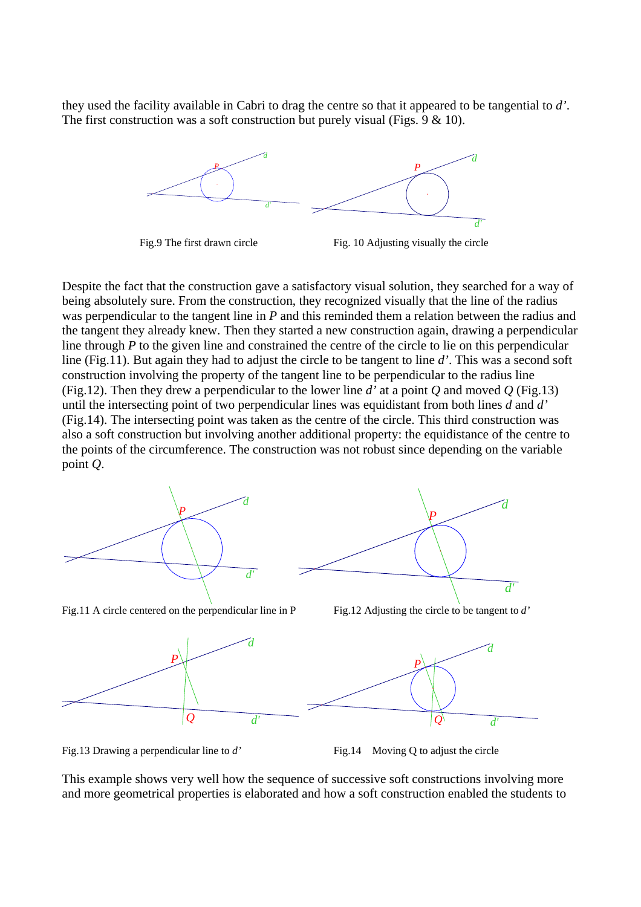they used the facility available in Cabri to drag the centre so that it appeared to be tangential to *d'*. The first construction was a soft construction but purely visual (Figs.  $9 < 10$ ).





Despite the fact that the construction gave a satisfactory visual solution, they searched for a way of being absolutely sure. From the construction, they recognized visually that the line of the radius was perpendicular to the tangent line in *P* and this reminded them a relation between the radius and the tangent they already knew. Then they started a new construction again, drawing a perpendicular line through *P* to the given line and constrained the centre of the circle to lie on this perpendicular line (Fig.11). But again they had to adjust the circle to be tangent to line *d'*. This was a second soft construction involving the property of the tangent line to be perpendicular to the radius line (Fig.12). Then they drew a perpendicular to the lower line *d'* at a point *Q* and moved *Q* (Fig.13) until the intersecting point of two perpendicular lines was equidistant from both lines *d* and *d'*  (Fig.14). The intersecting point was taken as the centre of the circle. This third construction was also a soft construction but involving another additional property: the equidistance of the centre to the points of the circumference. The construction was not robust since depending on the variable point *Q*.





Fig.11 A circle centered on the perpendicular line in P Fig.12 Adjusting the circle to be tangent to *d'* 



Fig.13 Drawing a perpendicular line to *d'* Fig.14 Moving Q to adjust the circle

This example shows very well how the sequence of successive soft constructions involving more and more geometrical properties is elaborated and how a soft construction enabled the students to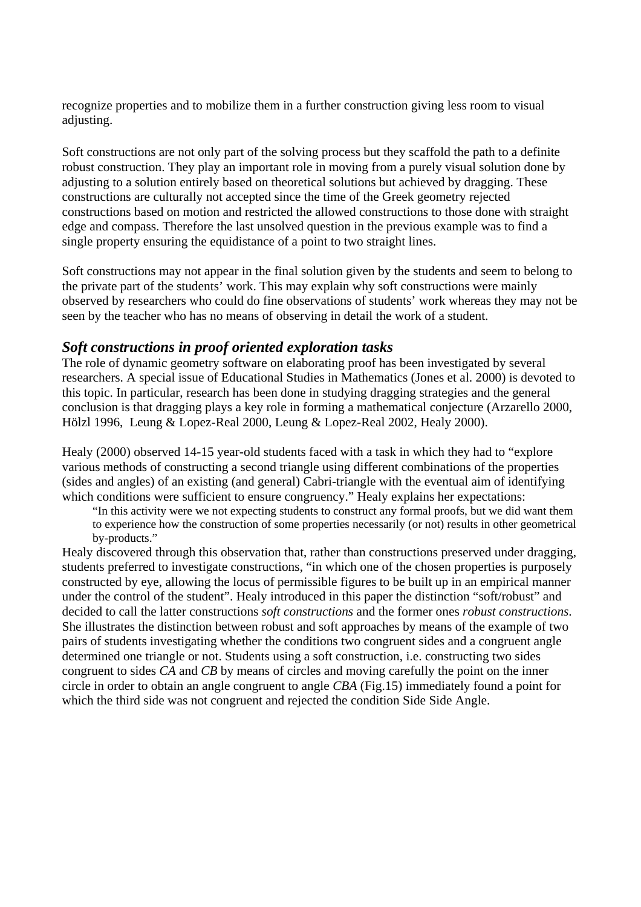recognize properties and to mobilize them in a further construction giving less room to visual adjusting.

Soft constructions are not only part of the solving process but they scaffold the path to a definite robust construction. They play an important role in moving from a purely visual solution done by adjusting to a solution entirely based on theoretical solutions but achieved by dragging. These constructions are culturally not accepted since the time of the Greek geometry rejected constructions based on motion and restricted the allowed constructions to those done with straight edge and compass. Therefore the last unsolved question in the previous example was to find a single property ensuring the equidistance of a point to two straight lines.

Soft constructions may not appear in the final solution given by the students and seem to belong to the private part of the students' work. This may explain why soft constructions were mainly observed by researchers who could do fine observations of students' work whereas they may not be seen by the teacher who has no means of observing in detail the work of a student.

## *Soft constructions in proof oriented exploration tasks*

The role of dynamic geometry software on elaborating proof has been investigated by several researchers. A special issue of Educational Studies in Mathematics (Jones et al. 2000) is devoted to this topic. In particular, research has been done in studying dragging strategies and the general conclusion is that dragging plays a key role in forming a mathematical conjecture (Arzarello 2000, Hölzl 1996, Leung & Lopez-Real 2000, Leung & Lopez-Real 2002, Healy 2000).

Healy (2000) observed 14-15 year-old students faced with a task in which they had to "explore various methods of constructing a second triangle using different combinations of the properties (sides and angles) of an existing (and general) Cabri-triangle with the eventual aim of identifying which conditions were sufficient to ensure congruency." Healy explains her expectations:

"In this activity were we not expecting students to construct any formal proofs, but we did want them to experience how the construction of some properties necessarily (or not) results in other geometrical by-products."

Healy discovered through this observation that, rather than constructions preserved under dragging, students preferred to investigate constructions, "in which one of the chosen properties is purposely constructed by eye, allowing the locus of permissible figures to be built up in an empirical manner under the control of the student". Healy introduced in this paper the distinction "soft/robust" and decided to call the latter constructions *soft constructions* and the former ones *robust constructions*. She illustrates the distinction between robust and soft approaches by means of the example of two pairs of students investigating whether the conditions two congruent sides and a congruent angle determined one triangle or not. Students using a soft construction, i.e. constructing two sides congruent to sides *CA* and *CB* by means of circles and moving carefully the point on the inner circle in order to obtain an angle congruent to angle *CBA* (Fig.15) immediately found a point for which the third side was not congruent and rejected the condition Side Side Angle.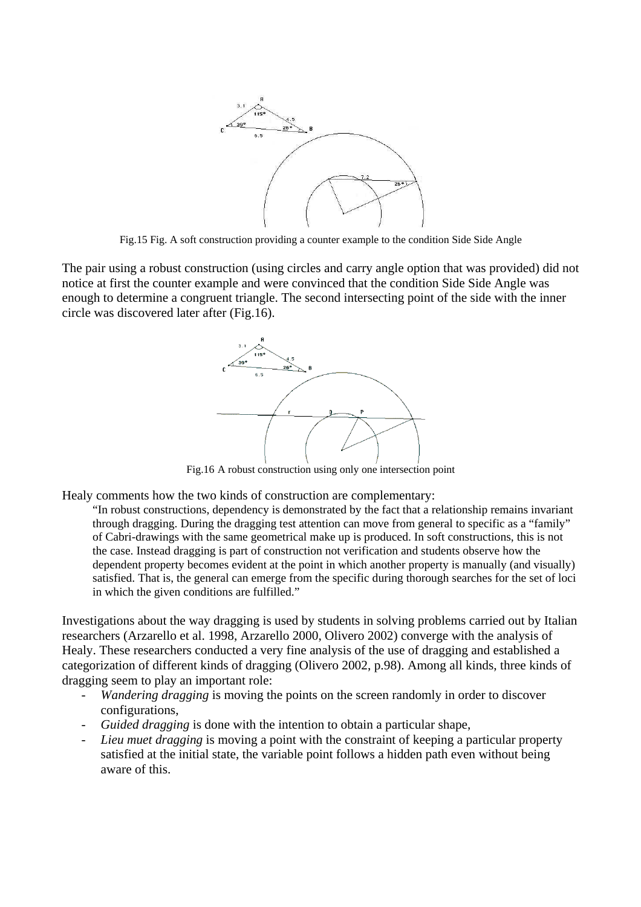

Fig.15 Fig. A soft construction providing a counter example to the condition Side Side Angle

The pair using a robust construction (using circles and carry angle option that was provided) did not notice at first the counter example and were convinced that the condition Side Side Angle was enough to determine a congruent triangle. The second intersecting point of the side with the inner circle was discovered later after (Fig.16).



Fig.16 A robust construction using only one intersection point

Healy comments how the two kinds of construction are complementary:

"In robust constructions, dependency is demonstrated by the fact that a relationship remains invariant through dragging. During the dragging test attention can move from general to specific as a "family" of Cabri-drawings with the same geometrical make up is produced. In soft constructions, this is not the case. Instead dragging is part of construction not verification and students observe how the dependent property becomes evident at the point in which another property is manually (and visually) satisfied. That is, the general can emerge from the specific during thorough searches for the set of loci in which the given conditions are fulfilled."

Investigations about the way dragging is used by students in solving problems carried out by Italian researchers (Arzarello et al. 1998, Arzarello 2000, Olivero 2002) converge with the analysis of Healy. These researchers conducted a very fine analysis of the use of dragging and established a categorization of different kinds of dragging (Olivero 2002, p.98). Among all kinds, three kinds of dragging seem to play an important role:

- *Wandering dragging* is moving the points on the screen randomly in order to discover configurations,
- *Guided dragging* is done with the intention to obtain a particular shape,
- *Lieu muet dragging* is moving a point with the constraint of keeping a particular property satisfied at the initial state, the variable point follows a hidden path even without being aware of this.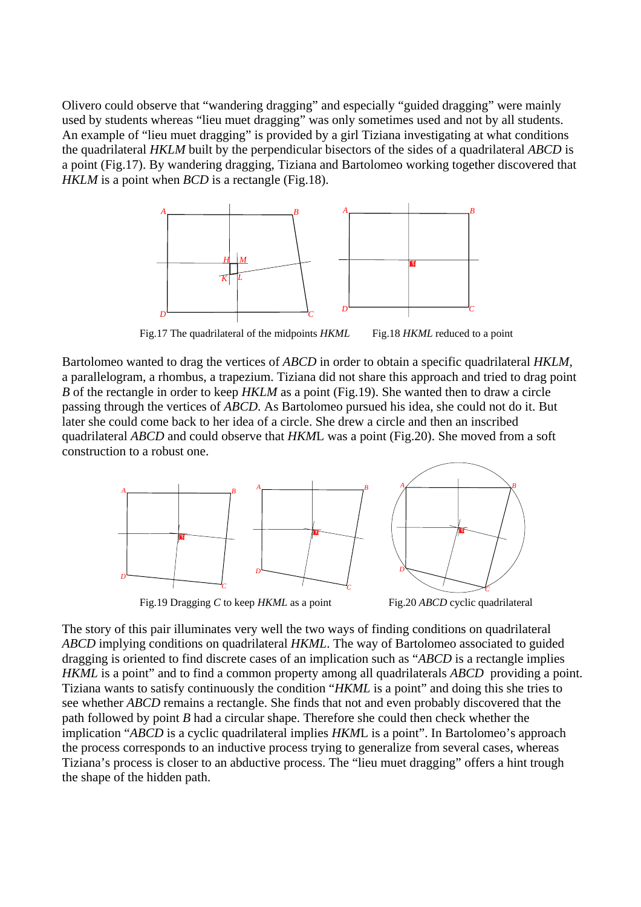Olivero could observe that "wandering dragging" and especially "guided dragging" were mainly used by students whereas "lieu muet dragging" was only sometimes used and not by all students. An example of "lieu muet dragging" is provided by a girl Tiziana investigating at what conditions the quadrilateral *HKLM* built by the perpendicular bisectors of the sides of a quadrilateral *ABCD* is a point (Fig.17). By wandering dragging, Tiziana and Bartolomeo working together discovered that *HKLM* is a point when *BCD* is a rectangle (Fig.18).



Fig.17 The quadrilateral of the midpoints *HKML* Fig.18 *HKML* reduced to a point

Bartolomeo wanted to drag the vertices of *ABCD* in order to obtain a specific quadrilateral *HKLM*, a parallelogram, a rhombus, a trapezium. Tiziana did not share this approach and tried to drag point *B* of the rectangle in order to keep *HKLM* as a point (Fig.19). She wanted then to draw a circle passing through the vertices of *ABCD*. As Bartolomeo pursued his idea, she could not do it. But later she could come back to her idea of a circle. She drew a circle and then an inscribed quadrilateral *ABCD* and could observe that *HKM*L was a point (Fig.20). She moved from a soft construction to a robust one.



Fig.19 Dragging *C* to keep *HKML* as a point Fig.20 *ABCD* cyclic quadrilateral

The story of this pair illuminates very well the two ways of finding conditions on quadrilateral *ABCD* implying conditions on quadrilateral *HKML*. The way of Bartolomeo associated to guided dragging is oriented to find discrete cases of an implication such as "*ABCD* is a rectangle implies *HKML* is a point" and to find a common property among all quadrilaterals *ABCD* providing a point. Tiziana wants to satisfy continuously the condition "*HKML* is a point" and doing this she tries to see whether *ABCD* remains a rectangle. She finds that not and even probably discovered that the path followed by point *B* had a circular shape. Therefore she could then check whether the implication "*ABCD* is a cyclic quadrilateral implies *HKM*L is a point". In Bartolomeo's approach the process corresponds to an inductive process trying to generalize from several cases, whereas Tiziana's process is closer to an abductive process. The "lieu muet dragging" offers a hint trough the shape of the hidden path.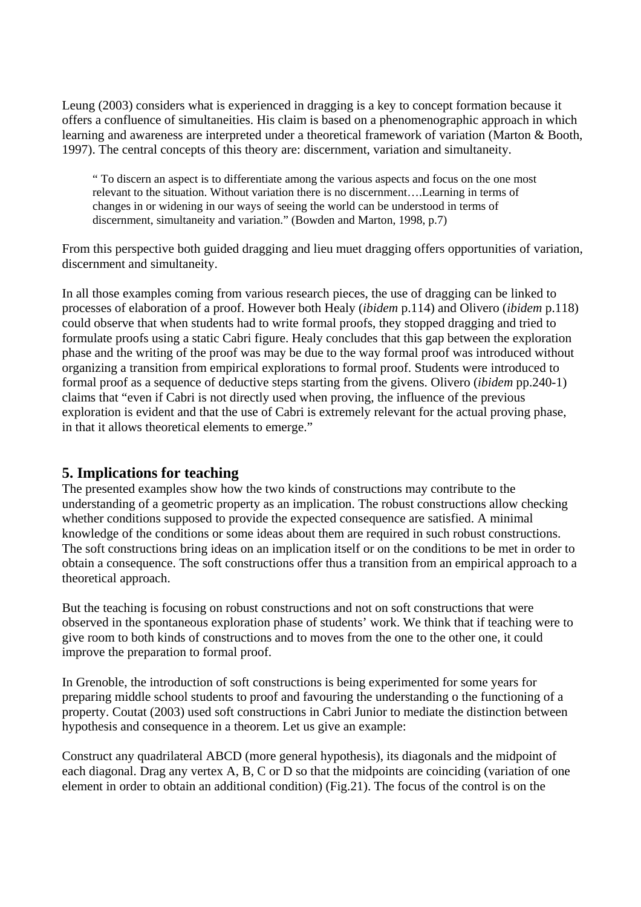Leung (2003) considers what is experienced in dragging is a key to concept formation because it offers a confluence of simultaneities. His claim is based on a phenomenographic approach in which learning and awareness are interpreted under a theoretical framework of variation (Marton & Booth, 1997). The central concepts of this theory are: discernment, variation and simultaneity.

" To discern an aspect is to differentiate among the various aspects and focus on the one most relevant to the situation. Without variation there is no discernment….Learning in terms of changes in or widening in our ways of seeing the world can be understood in terms of discernment, simultaneity and variation." (Bowden and Marton, 1998, p.7)

From this perspective both guided dragging and lieu muet dragging offers opportunities of variation, discernment and simultaneity.

In all those examples coming from various research pieces, the use of dragging can be linked to processes of elaboration of a proof. However both Healy (*ibidem* p.114) and Olivero (*ibidem* p.118) could observe that when students had to write formal proofs, they stopped dragging and tried to formulate proofs using a static Cabri figure. Healy concludes that this gap between the exploration phase and the writing of the proof was may be due to the way formal proof was introduced without organizing a transition from empirical explorations to formal proof. Students were introduced to formal proof as a sequence of deductive steps starting from the givens. Olivero (*ibidem* pp.240-1) claims that "even if Cabri is not directly used when proving, the influence of the previous exploration is evident and that the use of Cabri is extremely relevant for the actual proving phase, in that it allows theoretical elements to emerge."

## **5. Implications for teaching**

The presented examples show how the two kinds of constructions may contribute to the understanding of a geometric property as an implication. The robust constructions allow checking whether conditions supposed to provide the expected consequence are satisfied. A minimal knowledge of the conditions or some ideas about them are required in such robust constructions. The soft constructions bring ideas on an implication itself or on the conditions to be met in order to obtain a consequence. The soft constructions offer thus a transition from an empirical approach to a theoretical approach.

But the teaching is focusing on robust constructions and not on soft constructions that were observed in the spontaneous exploration phase of students' work. We think that if teaching were to give room to both kinds of constructions and to moves from the one to the other one, it could improve the preparation to formal proof.

In Grenoble, the introduction of soft constructions is being experimented for some years for preparing middle school students to proof and favouring the understanding o the functioning of a property. Coutat (2003) used soft constructions in Cabri Junior to mediate the distinction between hypothesis and consequence in a theorem. Let us give an example:

Construct any quadrilateral ABCD (more general hypothesis), its diagonals and the midpoint of each diagonal. Drag any vertex A, B, C or D so that the midpoints are coinciding (variation of one element in order to obtain an additional condition) (Fig.21). The focus of the control is on the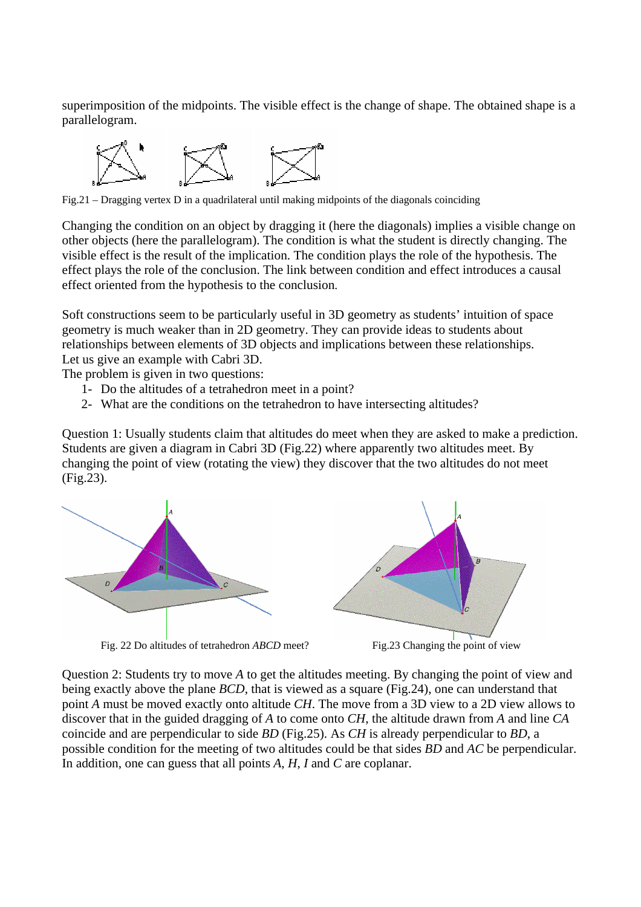superimposition of the midpoints. The visible effect is the change of shape. The obtained shape is a parallelogram.



Fig.21 – Dragging vertex D in a quadrilateral until making midpoints of the diagonals coinciding

Changing the condition on an object by dragging it (here the diagonals) implies a visible change on other objects (here the parallelogram). The condition is what the student is directly changing. The visible effect is the result of the implication. The condition plays the role of the hypothesis. The effect plays the role of the conclusion. The link between condition and effect introduces a causal effect oriented from the hypothesis to the conclusion.

Soft constructions seem to be particularly useful in 3D geometry as students' intuition of space geometry is much weaker than in 2D geometry. They can provide ideas to students about relationships between elements of 3D objects and implications between these relationships. Let us give an example with Cabri 3D.

The problem is given in two questions:

- 1- Do the altitudes of a tetrahedron meet in a point?
- 2- What are the conditions on the tetrahedron to have intersecting altitudes?

Question 1: Usually students claim that altitudes do meet when they are asked to make a prediction. Students are given a diagram in Cabri 3D (Fig.22) where apparently two altitudes meet. By changing the point of view (rotating the view) they discover that the two altitudes do not meet (Fig.23).



Fig. 22 Do altitudes of tetrahedron *ABCD* meet? Fig. 23 Changing the point of view



Question 2: Students try to move *A* to get the altitudes meeting. By changing the point of view and being exactly above the plane *BCD*, that is viewed as a square (Fig.24), one can understand that point *A* must be moved exactly onto altitude *CH*. The move from a 3D view to a 2D view allows to discover that in the guided dragging of *A* to come onto *CH*, the altitude drawn from *A* and line *CA* coincide and are perpendicular to side *BD* (Fig.25). As *CH* is already perpendicular to *BD*, a possible condition for the meeting of two altitudes could be that sides *BD* and *AC* be perpendicular. In addition, one can guess that all points *A*, *H*, *I* and *C* are coplanar.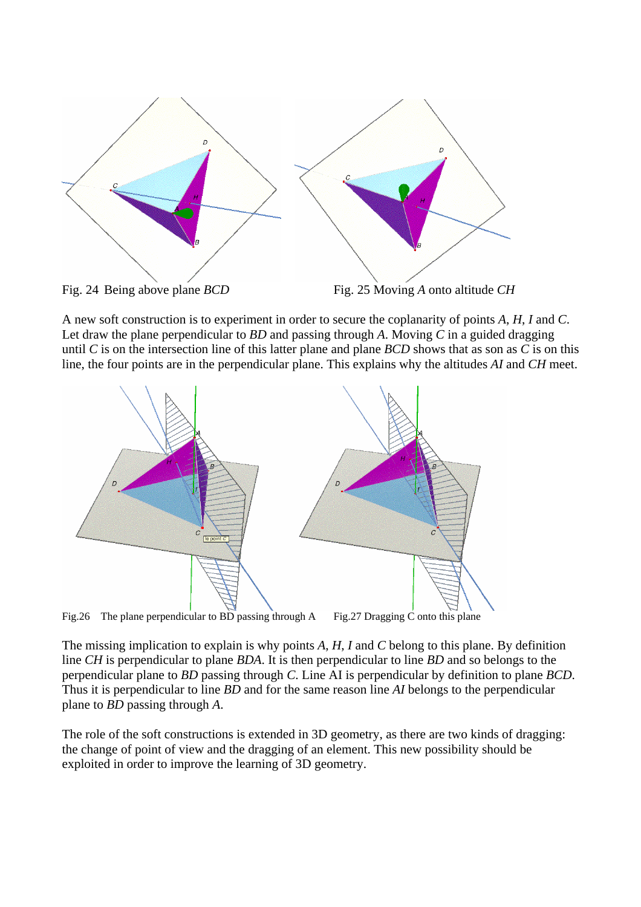

A new soft construction is to experiment in order to secure the coplanarity of points *A*, *H*, *I* and *C*. Let draw the plane perpendicular to *BD* and passing through *A*. Moving *C* in a guided dragging until *C* is on the intersection line of this latter plane and plane *BCD* shows that as son as *C* is on this line, the four points are in the perpendicular plane. This explains why the altitudes *AI* and *CH* meet.

![](_page_12_Figure_2.jpeg)

Fig.26 The plane perpendicular to BD passing through A Fig.27 Dragging C onto this plane

The missing implication to explain is why points *A*, *H*, *I* and *C* belong to this plane. By definition line *CH* is perpendicular to plane *BDA*. It is then perpendicular to line *BD* and so belongs to the perpendicular plane to *BD* passing through *C*. Line AI is perpendicular by definition to plane *BCD*. Thus it is perpendicular to line *BD* and for the same reason line *AI* belongs to the perpendicular plane to *BD* passing through *A*.

The role of the soft constructions is extended in 3D geometry, as there are two kinds of dragging: the change of point of view and the dragging of an element. This new possibility should be exploited in order to improve the learning of 3D geometry.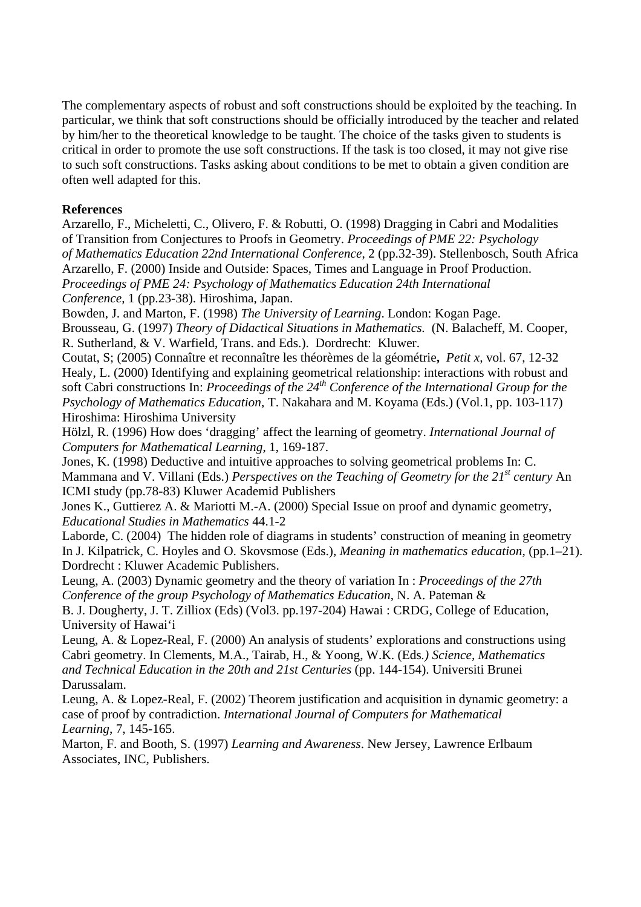The complementary aspects of robust and soft constructions should be exploited by the teaching. In particular, we think that soft constructions should be officially introduced by the teacher and related by him/her to the theoretical knowledge to be taught. The choice of the tasks given to students is critical in order to promote the use soft constructions. If the task is too closed, it may not give rise to such soft constructions. Tasks asking about conditions to be met to obtain a given condition are often well adapted for this.

#### **References**

Arzarello, F., Micheletti, C., Olivero, F. & Robutti, O. (1998) Dragging in Cabri and Modalities of Transition from Conjectures to Proofs in Geometry. *Proceedings of PME 22: Psychology of Mathematics Education 22nd International Conference*, 2 (pp.32-39). Stellenbosch, South Africa Arzarello, F. (2000) Inside and Outside: Spaces, Times and Language in Proof Production. *Proceedings of PME 24: Psychology of Mathematics Education 24th International* 

*Conference*, 1 (pp.23-38). Hiroshima, Japan.

Bowden, J. and Marton, F. (1998) *The University of Learning*. London: Kogan Page. Brousseau, G. (1997) *Theory of Didactical Situations in Mathematics.* (N. Balacheff, M. Cooper,

R. Sutherland, & V. Warfield, Trans. and Eds.). Dordrecht: Kluwer.

Coutat, S; (2005) Connaître et reconnaître les théorèmes de la géométrie**,** *Petit x,* vol. 67, 12-32 Healy, L. (2000) Identifying and explaining geometrical relationship: interactions with robust and soft Cabri constructions In: *Proceedings of the 24<sup>th</sup> Conference of the International Group for the Psychology of Mathematics Education*, T. Nakahara and M. Koyama (Eds.) (Vol.1, pp. 103-117) Hiroshima: Hiroshima University

Hölzl, R. (1996) How does 'dragging' affect the learning of geometry. *International Journal of Computers for Mathematical Learning*, 1, 169-187.

Jones, K. (1998) Deductive and intuitive approaches to solving geometrical problems In: C. Mammana and V. Villani (Eds.) *Perspectives on the Teaching of Geometry for the 21<sup>st</sup> century* An ICMI study (pp.78-83) Kluwer Academid Publishers

Jones K., Guttierez A. & Mariotti M.-A. (2000) Special Issue on proof and dynamic geometry, *Educational Studies in Mathematics* 44.1-2

Laborde, C. (2004) The hidden role of diagrams in students' construction of meaning in geometry In J. Kilpatrick, C. Hoyles and O. Skovsmose (Eds.), *Meaning in mathematics education*, (pp.1–21). Dordrecht : Kluwer Academic Publishers.

Leung, A. (2003) Dynamic geometry and the theory of variation In : *Proceedings of the 27th Conference of the group Psychology of Mathematics Education*, N. A. Pateman & B. J. Dougherty, J. T. Zilliox (Eds) (Vol3. pp.197-204) Hawai : CRDG, College of Education, University of Hawai'i

Leung, A. & Lopez-Real, F. (2000) An analysis of students' explorations and constructions using Cabri geometry. In Clements, M.A., Tairab, H., & Yoong, W.K. (Eds*.) Science, Mathematics and Technical Education in the 20th and 21st Centuries* (pp. 144-154). Universiti Brunei Darussalam.

Leung, A. & Lopez-Real, F. (2002) Theorem justification and acquisition in dynamic geometry: a case of proof by contradiction. *International Journal of Computers for Mathematical Learning*, 7, 145-165.

Marton, F. and Booth, S. (1997) *Learning and Awareness*. New Jersey, Lawrence Erlbaum Associates, INC, Publishers.